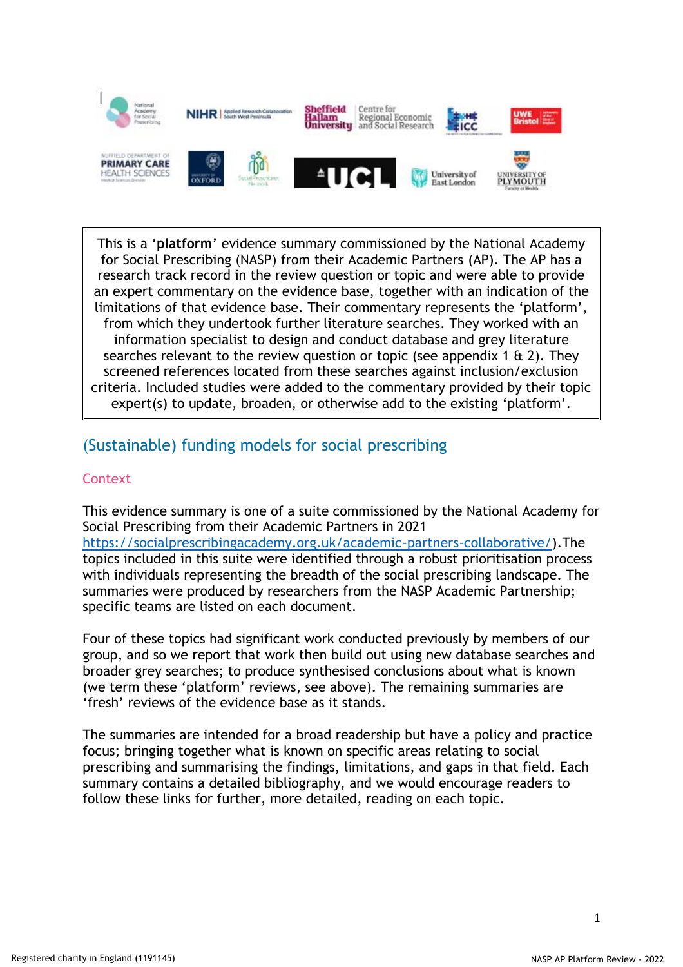

This is a '**platform**' evidence summary commissioned by the National Academy for Social Prescribing (NASP) from their Academic Partners (AP). The AP has a research track record in the review question or topic and were able to provide an expert commentary on the evidence base, together with an indication of the limitations of that evidence base. Their commentary represents the 'platform', from which they undertook further literature searches. They worked with an information specialist to design and conduct database and grey literature searches relevant to the review question or topic (see appendix 1  $\alpha$  2). They screened references located from these searches against inclusion/exclusion criteria. Included studies were added to the commentary provided by their topic expert(s) to update, broaden, or otherwise add to the existing 'platform'.

# (Sustainable) funding models for social prescribing

# **Context**

This evidence summary is one of a suite commissioned by the National Academy for Social Prescribing from their Academic Partners in 2021 [https://socialprescribingacademy.org.uk/academic-partners-collaborative/\)](https://socialprescribingacademy.org.uk/academic-partners-collaborative/).The topics included in this suite were identified through a robust prioritisation process with individuals representing the breadth of the social prescribing landscape. The summaries were produced by researchers from the NASP Academic Partnership; specific teams are listed on each document.

Four of these topics had significant work conducted previously by members of our group, and so we report that work then build out using new database searches and broader grey searches; to produce synthesised conclusions about what is known (we term these 'platform' reviews, see above). The remaining summaries are 'fresh' reviews of the evidence base as it stands.

The summaries are intended for a broad readership but have a policy and practice focus; bringing together what is known on specific areas relating to social prescribing and summarising the findings, limitations, and gaps in that field. Each summary contains a detailed bibliography, and we would encourage readers to follow these links for further, more detailed, reading on each topic.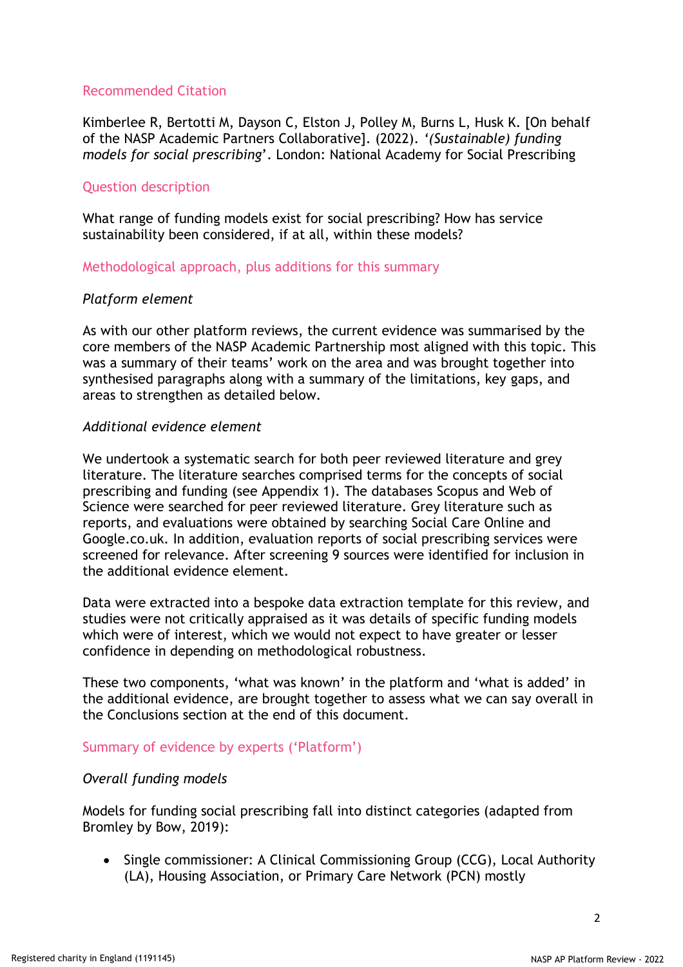# Recommended Citation

Kimberlee R, Bertotti M, Dayson C, Elston J, Polley M, Burns L, Husk K. [On behalf of the NASP Academic Partners Collaborative]. (2022). *'(Sustainable) funding models for social prescribing*'. London: National Academy for Social Prescribing

# Question description

What range of funding models exist for social prescribing? How has service sustainability been considered, if at all, within these models?

Methodological approach, plus additions for this summary

# *Platform element*

As with our other platform reviews, the current evidence was summarised by the core members of the NASP Academic Partnership most aligned with this topic. This was a summary of their teams' work on the area and was brought together into synthesised paragraphs along with a summary of the limitations, key gaps, and areas to strengthen as detailed below.

### *Additional evidence element*

We undertook a systematic search for both peer reviewed literature and grey literature. The literature searches comprised terms for the concepts of social prescribing and funding (see Appendix 1). The databases Scopus and Web of Science were searched for peer reviewed literature. Grey literature such as reports, and evaluations were obtained by searching Social Care Online and Google.co.uk. In addition, evaluation reports of social prescribing services were screened for relevance. After screening 9 sources were identified for inclusion in the additional evidence element.

Data were extracted into a bespoke data extraction template for this review, and studies were not critically appraised as it was details of specific funding models which were of interest, which we would not expect to have greater or lesser confidence in depending on methodological robustness.

These two components, 'what was known' in the platform and 'what is added' in the additional evidence, are brought together to assess what we can say overall in the Conclusions section at the end of this document.

# Summary of evidence by experts ('Platform')

# *Overall funding models*

Models for funding social prescribing fall into distinct categories (adapted from Bromley by Bow, 2019):

• Single commissioner: A Clinical Commissioning Group (CCG), Local Authority (LA), Housing Association, or Primary Care Network (PCN) mostly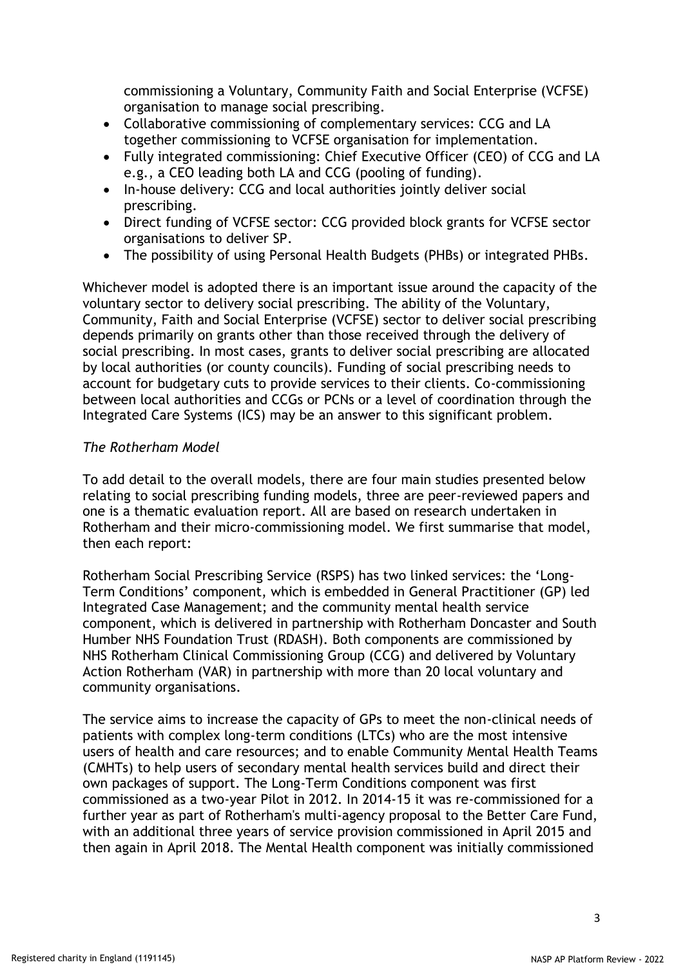commissioning a Voluntary, Community Faith and Social Enterprise (VCFSE) organisation to manage social prescribing.

- Collaborative commissioning of complementary services: CCG and LA together commissioning to VCFSE organisation for implementation.
- Fully integrated commissioning: Chief Executive Officer (CEO) of CCG and LA e.g., a CEO leading both LA and CCG (pooling of funding).
- In-house delivery: CCG and local authorities jointly deliver social prescribing.
- Direct funding of VCFSE sector: CCG provided block grants for VCFSE sector organisations to deliver SP.
- The possibility of using Personal Health Budgets (PHBs) or integrated PHBs.

Whichever model is adopted there is an important issue around the capacity of the voluntary sector to delivery social prescribing. The ability of the Voluntary, Community, Faith and Social Enterprise (VCFSE) sector to deliver social prescribing depends primarily on grants other than those received through the delivery of social prescribing. In most cases, grants to deliver social prescribing are allocated by local authorities (or county councils). Funding of social prescribing needs to account for budgetary cuts to provide services to their clients. Co-commissioning between local authorities and CCGs or PCNs or a level of coordination through the Integrated Care Systems (ICS) may be an answer to this significant problem.

# *The Rotherham Model*

To add detail to the overall models, there are four main studies presented below relating to social prescribing funding models, three are peer-reviewed papers and one is a thematic evaluation report. All are based on research undertaken in Rotherham and their micro-commissioning model. We first summarise that model, then each report:

Rotherham Social Prescribing Service (RSPS) has two linked services: the 'Long-Term Conditions' component, which is embedded in General Practitioner (GP) led Integrated Case Management; and the community mental health service component, which is delivered in partnership with Rotherham Doncaster and South Humber NHS Foundation Trust (RDASH). Both components are commissioned by NHS Rotherham Clinical Commissioning Group (CCG) and delivered by Voluntary Action Rotherham (VAR) in partnership with more than 20 local voluntary and community organisations.

The service aims to increase the capacity of GPs to meet the non-clinical needs of patients with complex long-term conditions (LTCs) who are the most intensive users of health and care resources; and to enable Community Mental Health Teams (CMHTs) to help users of secondary mental health services build and direct their own packages of support. The Long-Term Conditions component was first commissioned as a two-year Pilot in 2012. In 2014-15 it was re-commissioned for a further year as part of Rotherham's multi-agency proposal to the Better Care Fund, with an additional three years of service provision commissioned in April 2015 and then again in April 2018. The Mental Health component was initially commissioned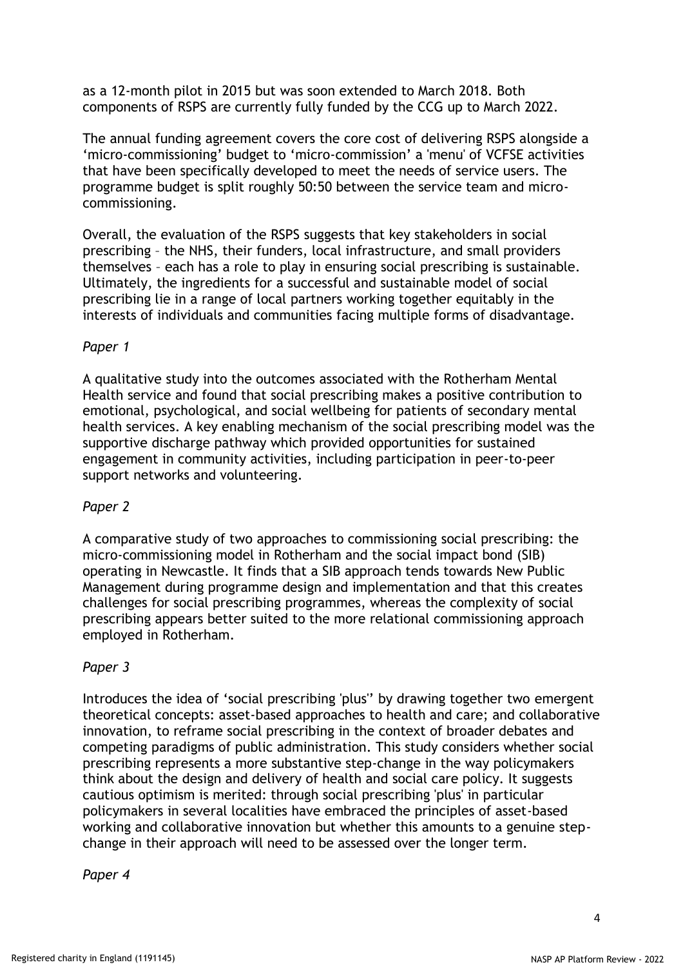as a 12-month pilot in 2015 but was soon extended to March 2018. Both components of RSPS are currently fully funded by the CCG up to March 2022.

The annual funding agreement covers the core cost of delivering RSPS alongside a 'micro-commissioning' budget to 'micro-commission' a 'menu' of VCFSE activities that have been specifically developed to meet the needs of service users. The programme budget is split roughly 50:50 between the service team and microcommissioning.

Overall, the evaluation of the RSPS suggests that key stakeholders in social prescribing – the NHS, their funders, local infrastructure, and small providers themselves – each has a role to play in ensuring social prescribing is sustainable. Ultimately, the ingredients for a successful and sustainable model of social prescribing lie in a range of local partners working together equitably in the interests of individuals and communities facing multiple forms of disadvantage.

# *Paper 1*

A qualitative study into the outcomes associated with the Rotherham Mental Health service and found that social prescribing makes a positive contribution to emotional, psychological, and social wellbeing for patients of secondary mental health services. A key enabling mechanism of the social prescribing model was the supportive discharge pathway which provided opportunities for sustained engagement in community activities, including participation in peer-to-peer support networks and volunteering.

# *Paper 2*

A comparative study of two approaches to commissioning social prescribing: the micro-commissioning model in Rotherham and the social impact bond (SIB) operating in Newcastle. It finds that a SIB approach tends towards New Public Management during programme design and implementation and that this creates challenges for social prescribing programmes, whereas the complexity of social prescribing appears better suited to the more relational commissioning approach employed in Rotherham.

# *Paper 3*

Introduces the idea of 'social prescribing 'plus'' by drawing together two emergent theoretical concepts: asset-based approaches to health and care; and collaborative innovation, to reframe social prescribing in the context of broader debates and competing paradigms of public administration. This study considers whether social prescribing represents a more substantive step-change in the way policymakers think about the design and delivery of health and social care policy. It suggests cautious optimism is merited: through social prescribing 'plus' in particular policymakers in several localities have embraced the principles of asset-based working and collaborative innovation but whether this amounts to a genuine stepchange in their approach will need to be assessed over the longer term.

#### *Paper 4*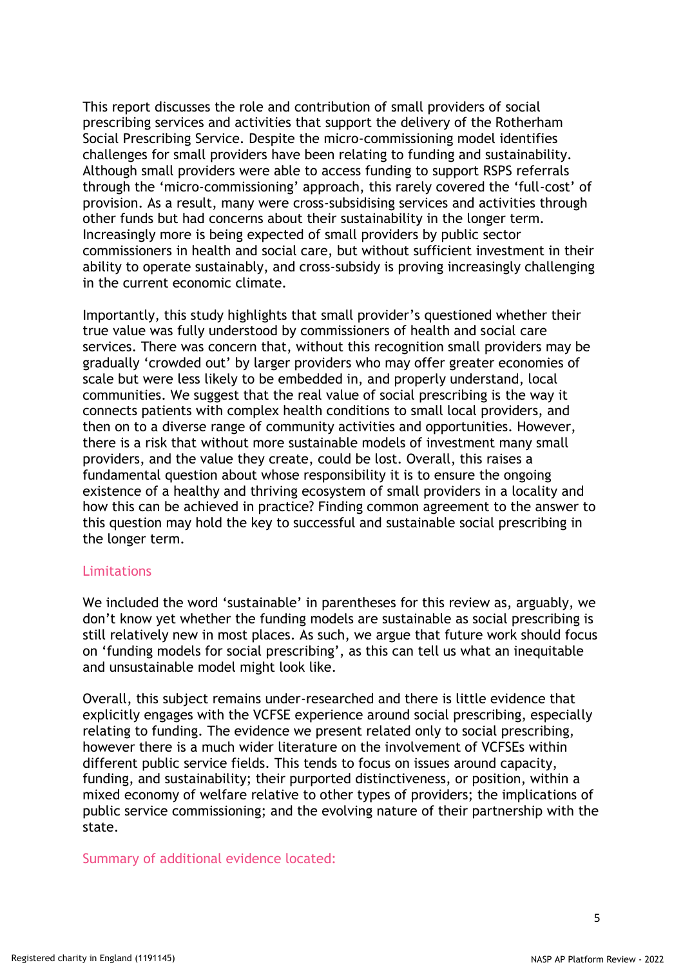This report discusses the role and contribution of small providers of social prescribing services and activities that support the delivery of the Rotherham Social Prescribing Service. Despite the micro-commissioning model identifies challenges for small providers have been relating to funding and sustainability. Although small providers were able to access funding to support RSPS referrals through the 'micro-commissioning' approach, this rarely covered the 'full-cost' of provision. As a result, many were cross-subsidising services and activities through other funds but had concerns about their sustainability in the longer term. Increasingly more is being expected of small providers by public sector commissioners in health and social care, but without sufficient investment in their ability to operate sustainably, and cross-subsidy is proving increasingly challenging in the current economic climate.

Importantly, this study highlights that small provider's questioned whether their true value was fully understood by commissioners of health and social care services. There was concern that, without this recognition small providers may be gradually 'crowded out' by larger providers who may offer greater economies of scale but were less likely to be embedded in, and properly understand, local communities. We suggest that the real value of social prescribing is the way it connects patients with complex health conditions to small local providers, and then on to a diverse range of community activities and opportunities. However, there is a risk that without more sustainable models of investment many small providers, and the value they create, could be lost. Overall, this raises a fundamental question about whose responsibility it is to ensure the ongoing existence of a healthy and thriving ecosystem of small providers in a locality and how this can be achieved in practice? Finding common agreement to the answer to this question may hold the key to successful and sustainable social prescribing in the longer term.

#### Limitations

We included the word 'sustainable' in parentheses for this review as, arguably, we don't know yet whether the funding models are sustainable as social prescribing is still relatively new in most places. As such, we argue that future work should focus on 'funding models for social prescribing', as this can tell us what an inequitable and unsustainable model might look like.

Overall, this subject remains under-researched and there is little evidence that explicitly engages with the VCFSE experience around social prescribing, especially relating to funding. The evidence we present related only to social prescribing, however there is a much wider literature on the involvement of VCFSEs within different public service fields. This tends to focus on issues around capacity, funding, and sustainability; their purported distinctiveness, or position, within a mixed economy of welfare relative to other types of providers; the implications of public service commissioning; and the evolving nature of their partnership with the state.

Summary of additional evidence located: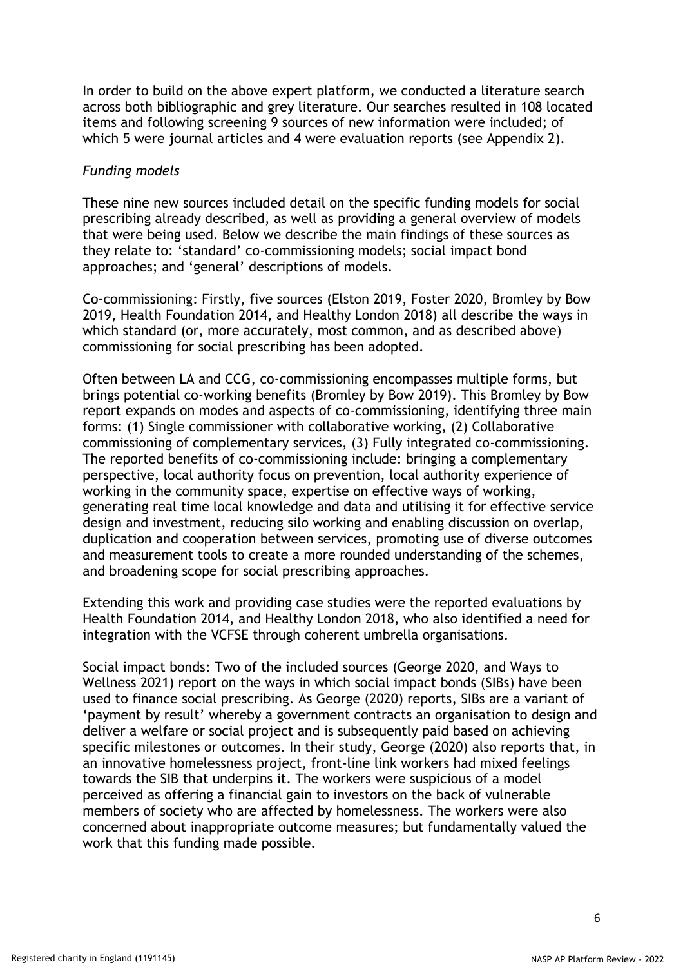In order to build on the above expert platform, we conducted a literature search across both bibliographic and grey literature. Our searches resulted in 108 located items and following screening 9 sources of new information were included; of which 5 were journal articles and 4 were evaluation reports (see Appendix 2).

### *Funding models*

These nine new sources included detail on the specific funding models for social prescribing already described, as well as providing a general overview of models that were being used. Below we describe the main findings of these sources as they relate to: 'standard' co-commissioning models; social impact bond approaches; and 'general' descriptions of models.

Co-commissioning: Firstly, five sources (Elston 2019, Foster 2020, Bromley by Bow 2019, Health Foundation 2014, and Healthy London 2018) all describe the ways in which standard (or, more accurately, most common, and as described above) commissioning for social prescribing has been adopted.

Often between LA and CCG, co-commissioning encompasses multiple forms, but brings potential co-working benefits (Bromley by Bow 2019). This Bromley by Bow report expands on modes and aspects of co-commissioning, identifying three main forms: (1) Single commissioner with collaborative working, (2) Collaborative commissioning of complementary services, (3) Fully integrated co-commissioning. The reported benefits of co-commissioning include: bringing a complementary perspective, local authority focus on prevention, local authority experience of working in the community space, expertise on effective ways of working, generating real time local knowledge and data and utilising it for effective service design and investment, reducing silo working and enabling discussion on overlap, duplication and cooperation between services, promoting use of diverse outcomes and measurement tools to create a more rounded understanding of the schemes, and broadening scope for social prescribing approaches.

Extending this work and providing case studies were the reported evaluations by Health Foundation 2014, and Healthy London 2018, who also identified a need for integration with the VCFSE through coherent umbrella organisations.

Social impact bonds: Two of the included sources (George 2020, and Ways to Wellness 2021) report on the ways in which social impact bonds (SIBs) have been used to finance social prescribing. As George (2020) reports, SIBs are a variant of 'payment by result' whereby a government contracts an organisation to design and deliver a welfare or social project and is subsequently paid based on achieving specific milestones or outcomes. In their study, George (2020) also reports that, in an innovative homelessness project, front-line link workers had mixed feelings towards the SIB that underpins it. The workers were suspicious of a model perceived as offering a financial gain to investors on the back of vulnerable members of society who are affected by homelessness. The workers were also concerned about inappropriate outcome measures; but fundamentally valued the work that this funding made possible.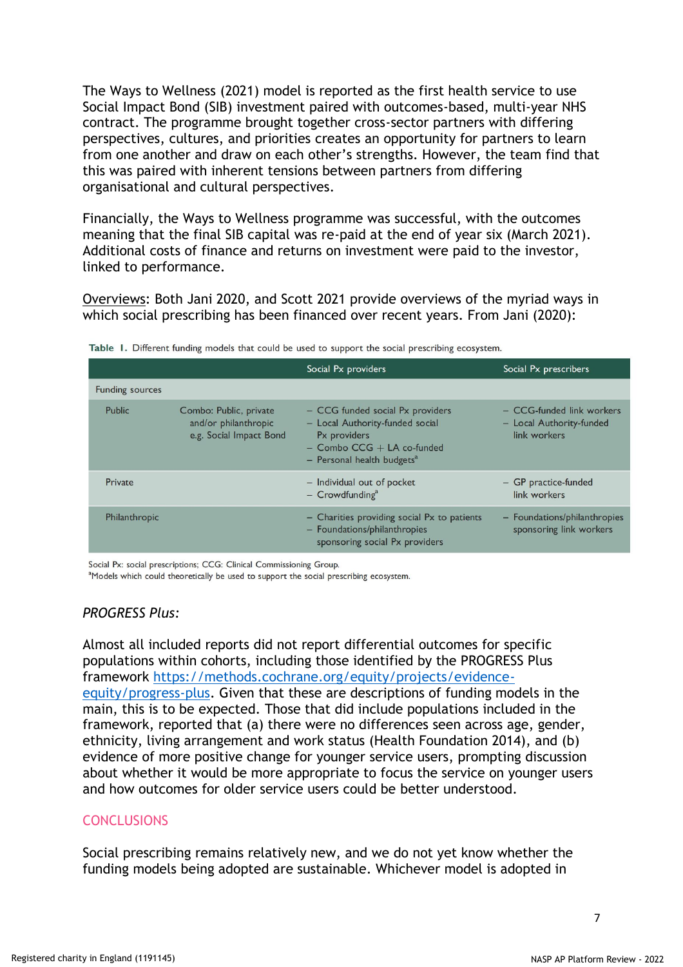The Ways to Wellness (2021) model is reported as the first health service to use Social Impact Bond (SIB) investment paired with outcomes-based, multi-year NHS contract. The programme brought together cross-sector partners with differing perspectives, cultures, and priorities creates an opportunity for partners to learn from one another and draw on each other's strengths. However, the team find that this was paired with inherent tensions between partners from differing organisational and cultural perspectives.

Financially, the Ways to Wellness programme was successful, with the outcomes meaning that the final SIB capital was re-paid at the end of year six (March 2021). Additional costs of finance and returns on investment were paid to the investor, linked to performance.

Overviews: Both Jani 2020, and Scott 2021 provide overviews of the myriad ways in which social prescribing has been financed over recent years. From Jani (2020):

|                        |                                                                           | Social Px providers                                                                                                                                               | Social Px prescribers                                                 |
|------------------------|---------------------------------------------------------------------------|-------------------------------------------------------------------------------------------------------------------------------------------------------------------|-----------------------------------------------------------------------|
| <b>Funding sources</b> |                                                                           |                                                                                                                                                                   |                                                                       |
| Public                 | Combo: Public, private<br>and/or philanthropic<br>e.g. Social Impact Bond | - CCG funded social Px providers<br>- Local Authority-funded social<br>Px providers<br>$-$ Combo CCG $+$ LA co-funded<br>$-$ Personal health budgets <sup>a</sup> | - CCG-funded link workers<br>- Local Authority-funded<br>link workers |
| Private                |                                                                           | - Individual out of pocket<br>$-$ Crowdfunding <sup>a</sup>                                                                                                       | - GP practice-funded<br>link workers                                  |
| Philanthropic          |                                                                           | $-$ Charities providing social Px to patients<br>- Foundations/philanthropies<br>sponsoring social Px providers                                                   | - Foundations/philanthropies<br>sponsoring link workers               |

|  |  |  |  |  |  |  |  |  |  |  |  |  | Table I. Different funding models that could be used to support the social prescribing ecosystem. |  |
|--|--|--|--|--|--|--|--|--|--|--|--|--|---------------------------------------------------------------------------------------------------|--|
|--|--|--|--|--|--|--|--|--|--|--|--|--|---------------------------------------------------------------------------------------------------|--|

Social Px: social prescriptions; CCG: Clinical Commissioning Group.

<sup>a</sup>Models which could theoretically be used to support the social prescribing ecosystem.

#### *PROGRESS Plus:*

Almost all included reports did not report differential outcomes for specific populations within cohorts, including those identified by the PROGRESS Plus framework [https://methods.cochrane.org/equity/projects/evidence](https://methods.cochrane.org/equity/projects/evidence-equity/progress-plus)[equity/progress-plus.](https://methods.cochrane.org/equity/projects/evidence-equity/progress-plus) Given that these are descriptions of funding models in the main, this is to be expected. Those that did include populations included in the framework, reported that (a) there were no differences seen across age, gender, ethnicity, living arrangement and work status (Health Foundation 2014), and (b) evidence of more positive change for younger service users, prompting discussion about whether it would be more appropriate to focus the service on younger users and how outcomes for older service users could be better understood.

# **CONCLUSIONS**

Social prescribing remains relatively new, and we do not yet know whether the funding models being adopted are sustainable. Whichever model is adopted in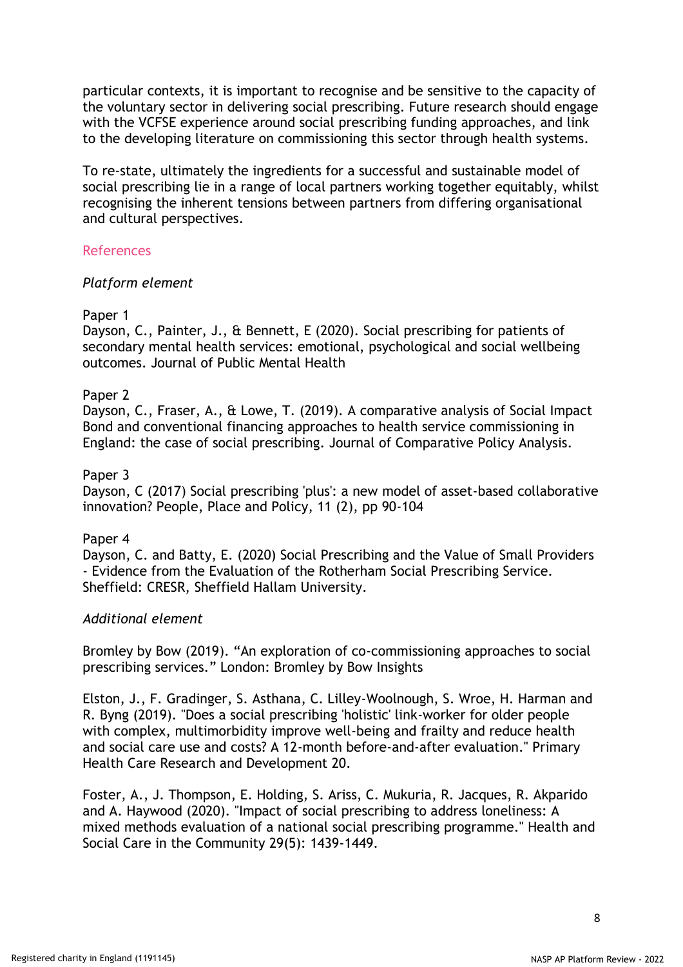particular contexts, it is important to recognise and be sensitive to the capacity of the voluntary sector in delivering social prescribing. Future research should engage with the VCFSE experience around social prescribing funding approaches, and link to the developing literature on commissioning this sector through health systems.

To re-state, ultimately the ingredients for a successful and sustainable model of social prescribing lie in a range of local partners working together equitably, whilst recognising the inherent tensions between partners from differing organisational and cultural perspectives.

### References

### *Platform element*

### Paper 1

Dayson, C., Painter, J., & Bennett, E (2020). Social prescribing for patients of secondary mental health services: emotional, psychological and social wellbeing outcomes. Journal of Public Mental Health

### Paper 2

Dayson, C., Fraser, A., & Lowe, T. (2019). A comparative analysis of Social Impact Bond and conventional financing approaches to health service commissioning in England: the case of social prescribing. Journal of Comparative Policy Analysis.

### Paper 3

Dayson, C (2017) Social prescribing 'plus': a new model of asset-based collaborative innovation? People, Place and Policy, 11 (2), pp 90-104

#### Paper 4

Dayson, C. and Batty, E. (2020) Social Prescribing and the Value of Small Providers - Evidence from the Evaluation of the Rotherham Social Prescribing Service. Sheffield: CRESR, Sheffield Hallam University.

#### *Additional element*

Bromley by Bow (2019). "An exploration of co-commissioning approaches to social prescribing services." London: Bromley by Bow Insights

Elston, J., F. Gradinger, S. Asthana, C. Lilley-Woolnough, S. Wroe, H. Harman and R. Byng (2019). "Does a social prescribing 'holistic' link-worker for older people with complex, multimorbidity improve well-being and frailty and reduce health and social care use and costs? A 12-month before-and-after evaluation." Primary Health Care Research and Development 20.

Foster, A., J. Thompson, E. Holding, S. Ariss, C. Mukuria, R. Jacques, R. Akparido and A. Haywood (2020). "Impact of social prescribing to address loneliness: A mixed methods evaluation of a national social prescribing programme." Health and Social Care in the Community 29(5): 1439-1449.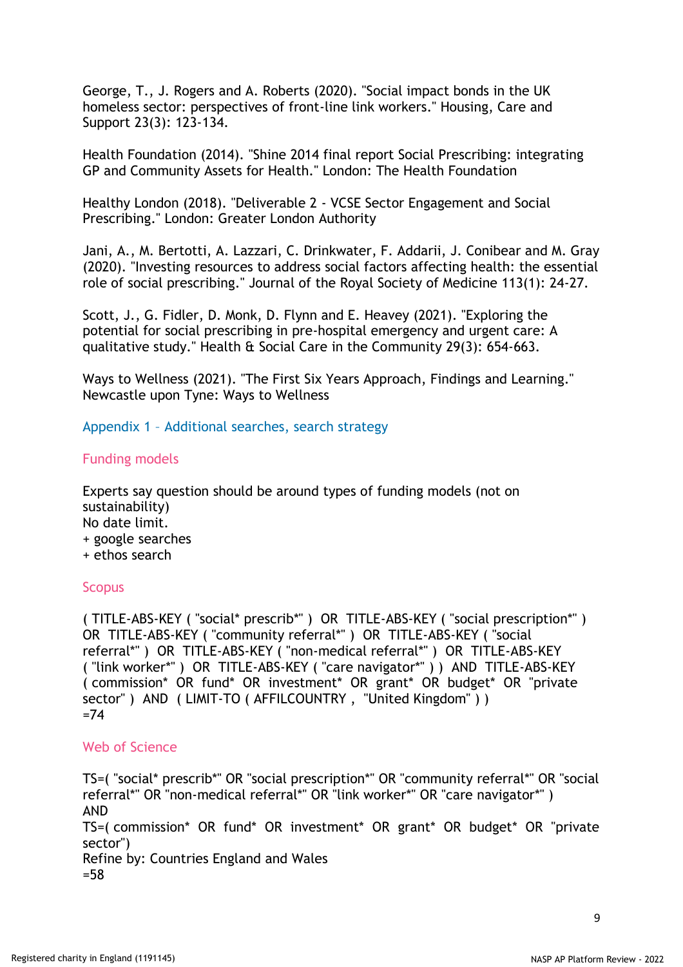George, T., J. Rogers and A. Roberts (2020). "Social impact bonds in the UK homeless sector: perspectives of front-line link workers." Housing, Care and Support 23(3): 123-134.

Health Foundation (2014). "Shine 2014 final report Social Prescribing: integrating GP and Community Assets for Health." London: The Health Foundation

Healthy London (2018). "Deliverable 2 - VCSE Sector Engagement and Social Prescribing." London: Greater London Authority

Jani, A., M. Bertotti, A. Lazzari, C. Drinkwater, F. Addarii, J. Conibear and M. Gray (2020). "Investing resources to address social factors affecting health: the essential role of social prescribing." Journal of the Royal Society of Medicine 113(1): 24-27.

Scott, J., G. Fidler, D. Monk, D. Flynn and E. Heavey (2021). "Exploring the potential for social prescribing in pre-hospital emergency and urgent care: A qualitative study." Health & Social Care in the Community 29(3): 654-663.

Ways to Wellness (2021). "The First Six Years Approach, Findings and Learning." Newcastle upon Tyne: Ways to Wellness

Appendix 1 – Additional searches, search strategy

# Funding models

Experts say question should be around types of funding models (not on sustainability) No date limit. + google searches + ethos search

# **Scopus**

( TITLE-ABS-KEY ( "social\* prescrib\*" ) OR TITLE-ABS-KEY ( "social prescription\*" ) OR TITLE-ABS-KEY ( "community referral\*" ) OR TITLE-ABS-KEY ( "social referral\*" ) OR TITLE-ABS-KEY ( "non-medical referral\*" ) OR TITLE-ABS-KEY ( "link worker\*" ) OR TITLE-ABS-KEY ( "care navigator\*" ) ) AND TITLE-ABS-KEY ( commission\* OR fund\* OR investment\* OR grant\* OR budget\* OR "private sector" ) AND ( LIMIT-TO ( AFFILCOUNTRY, "United Kingdom" ) )  $=74$ 

#### Web of Science

TS=( "social\* prescrib\*" OR "social prescription\*" OR "community referral\*" OR "social referral\*" OR "non-medical referral\*" OR "link worker\*" OR "care navigator\*") AND TS=( commission\* OR fund\* OR investment\* OR grant\* OR budget\* OR "private sector") Refine by: Countries England and Wales =58